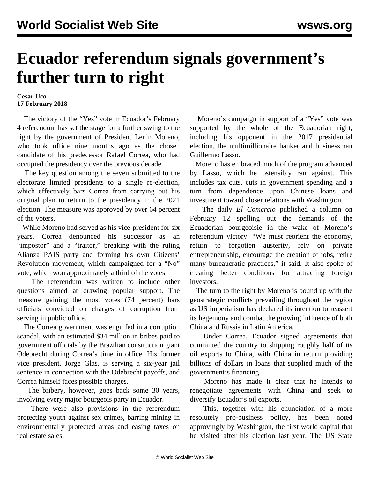## **Ecuador referendum signals government's further turn to right**

## **Cesar Uco 17 February 2018**

 The victory of the "Yes" vote in Ecuador's February 4 referendum has set the stage for a further swing to the right by the government of President Lenin Moreno, who took office nine months ago as the chosen candidate of his predecessor Rafael Correa, who had occupied the presidency over the previous decade.

 The key question among the seven submitted to the electorate limited presidents to a single re-election, which effectively bars Correa from carrying out his original plan to return to the presidency in the 2021 election. The measure was approved by over 64 percent of the voters.

 While Moreno had served as his vice-president for six years, Correa denounced his successor as an "impostor" and a "traitor," breaking with the ruling Alianza PAIS party and forming his own Citizens' Revolution movement, which campaigned for a "No" vote, which won approximately a third of the votes.

 The referendum was written to include other questions aimed at drawing popular support. The measure gaining the most votes (74 percent) bars officials convicted on charges of corruption from serving in public office.

 The Correa government was engulfed in a corruption scandal, with an estimated \$34 million in bribes paid to government officials by the Brazilian construction giant Odebrecht during Correa's time in office. His former vice president, Jorge Glas, is serving a six-year jail sentence in connection with the Odebrecht payoffs, and Correa himself faces possible charges.

 The bribery, however, goes back some 30 years, involving every major bourgeois party in Ecuador.

 There were also provisions in the referendum protecting youth against sex crimes, barring mining in environmentally protected areas and easing taxes on real estate sales.

 Moreno's campaign in support of a "Yes" vote was supported by the whole of the Ecuadorian right, including his opponent in the 2017 presidential election, the multimillionaire banker and businessman Guillermo Lasso.

 Moreno has embraced much of the program advanced by Lasso, which he ostensibly ran against. This includes tax cuts, cuts in government spending and a turn from dependence upon Chinese loans and investment toward closer relations with Washington.

 The daily *El Comercio* published a column on February 12 spelling out the demands of the Ecuadorian bourgeoisie in the wake of Moreno's referendum victory. "We must reorient the economy, return to forgotten austerity, rely on private entrepreneurship, encourage the creation of jobs, retire many bureaucratic practices," it said. It also spoke of creating better conditions for attracting foreign investors.

 The turn to the right by Moreno is bound up with the geostrategic conflicts prevailing throughout the region as US imperialism has declared its intention to reassert its hegemony and combat the growing influence of both China and Russia in Latin America.

 Under Correa, Ecuador signed agreements that committed the country to shipping roughly half of its oil exports to China, with China in return providing billions of dollars in loans that supplied much of the government's financing.

 Moreno has made it clear that he intends to renegotiate agreements with China and seek to diversify Ecuador's oil exports.

 This, together with his enunciation of a more resolutely pro-business policy, has been noted approvingly by Washington, the first world capital that he visited after his election last year. The US State